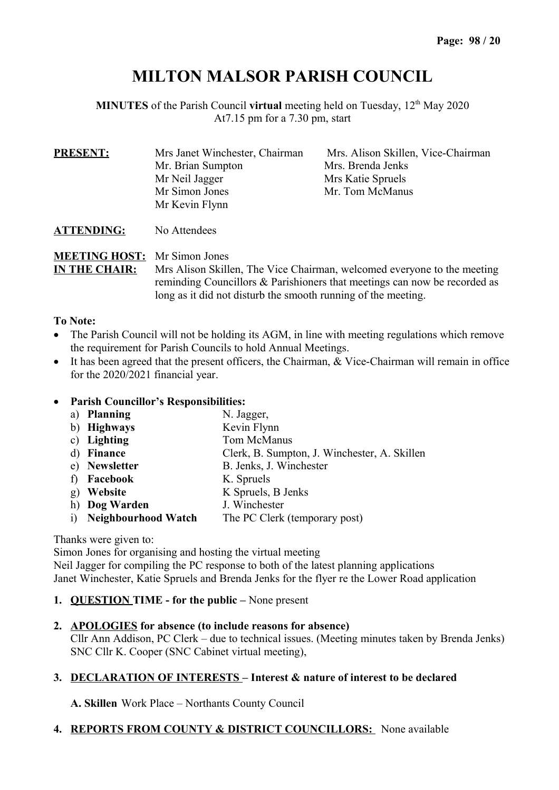# **MILTON MALSOR PARISH COUNCIL**

**MINUTES** of the Parish Council **virtual** meeting held on Tuesday, 12<sup>th</sup> May 2020 At7.15 pm for a 7.30 pm, start

| <b>PRESENT:</b> | Mrs Janet Winchester, Chairman | Mrs. Alison Skillen, Vice-Chairman |  |  |
|-----------------|--------------------------------|------------------------------------|--|--|
|                 | Mr. Brian Sumpton              | Mrs. Brenda Jenks                  |  |  |
|                 | Mr Neil Jagger                 | Mrs Katie Spruels                  |  |  |
|                 | Mr Simon Jones                 | Mr. Tom McManus                    |  |  |
|                 | Mr Kevin Flynn                 |                                    |  |  |
|                 |                                |                                    |  |  |

**ATTENDING:** No Attendees

# **MEETING HOST:** Mr Simon Jones

**IN THE CHAIR:** Mrs Alison Skillen, The Vice Chairman, welcomed everyone to the meeting reminding Councillors & Parishioners that meetings can now be recorded as long as it did not disturb the smooth running of the meeting.

#### **To Note:**

- The Parish Council will not be holding its AGM, in line with meeting regulations which remove the requirement for Parish Councils to hold Annual Meetings.
- It has been agreed that the present officers, the Chairman, & Vice-Chairman will remain in office for the 2020/2021 financial year.

#### **Parish Councillor's Responsibilities:**

- a) **Planning** N. Jagger,
- b) **Highways** Kevin Flynn
- c) **Lighting** Tom McManus
- d) **Finance** Clerk, B. Sumpton, J. Winchester, A. Skillen
- e) **Newsletter** B. Jenks, J. Winchester
- f) **Facebook** K. Spruels
- g) **Website** K Spruels, B Jenks
- h) **Dog Warden** J. Winchester
- i) **Neighbourhood Watch** The PC Clerk (temporary post)

#### Thanks were given to:

Simon Jones for organising and hosting the virtual meeting Neil Jagger for compiling the PC response to both of the latest planning applications Janet Winchester, Katie Spruels and Brenda Jenks for the flyer re the Lower Road application

**1. QUESTION TIME - for the public –** None present

# **2. APOLOGIES for absence (to include reasons for absence)**

Cllr Ann Addison, PC Clerk – due to technical issues. (Meeting minutes taken by Brenda Jenks) SNC Cllr K. Cooper (SNC Cabinet virtual meeting),

# **3. DECLARATION OF INTERESTS – Interest & nature of interest to be declared**

**A. Skillen** Work Place – Northants County Council

# **4. REPORTS FROM COUNTY & DISTRICT COUNCILLORS:** None available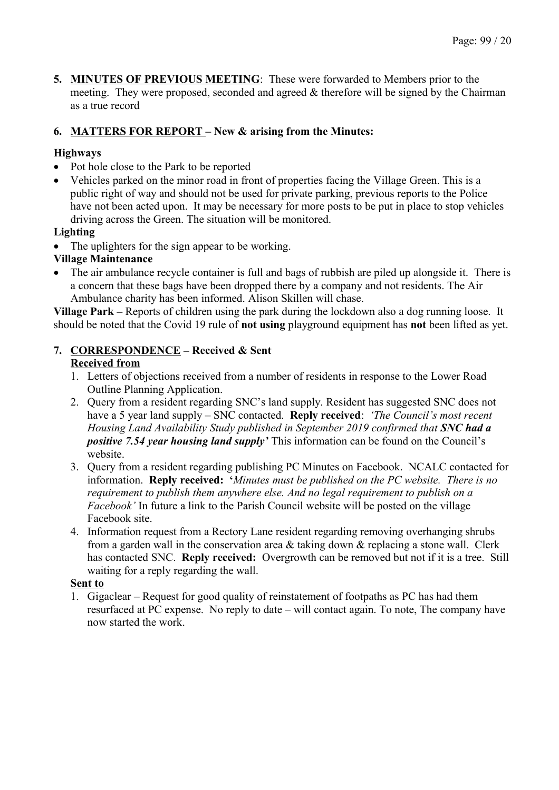**5. MINUTES OF PREVIOUS MEETING**: These were forwarded to Members prior to the meeting. They were proposed, seconded and agreed  $\&$  therefore will be signed by the Chairman as a true record

# **6. MATTERS FOR REPORT – New & arising from the Minutes:**

# **Highways**

- Pot hole close to the Park to be reported
- Vehicles parked on the minor road in front of properties facing the Village Green. This is a public right of way and should not be used for private parking, previous reports to the Police have not been acted upon. It may be necessary for more posts to be put in place to stop vehicles driving across the Green. The situation will be monitored.

#### **Lighting**

• The uplighters for the sign appear to be working.

#### **Village Maintenance**

 The air ambulance recycle container is full and bags of rubbish are piled up alongside it. There is a concern that these bags have been dropped there by a company and not residents. The Air Ambulance charity has been informed. Alison Skillen will chase.

**Village Park –** Reports of children using the park during the lockdown also a dog running loose. It should be noted that the Covid 19 rule of **not using** playground equipment has **not** been lifted as yet.

#### **7. CORRESPONDENCE – Received & Sent**

#### **Received from**

- 1. Letters of objections received from a number of residents in response to the Lower Road Outline Planning Application.
- 2. Query from a resident regarding SNC's land supply. Resident has suggested SNC does not have a 5 year land supply – SNC contacted. **Reply received**: *'The Council's most recent Housing Land Availability Study published in September 2019 confirmed that SNC had a positive 7.54 year housing land supply'* This information can be found on the Council's website.
- 3. Query from a resident regarding publishing PC Minutes on Facebook. NCALC contacted for information. **Reply received: '***Minutes must be published on the PC website. There is no requirement to publish them anywhere else. And no legal requirement to publish on a Facebook'* In future a link to the Parish Council website will be posted on the village Facebook site.
- 4. Information request from a Rectory Lane resident regarding removing overhanging shrubs from a garden wall in the conservation area & taking down & replacing a stone wall. Clerk has contacted SNC. **Reply received:** Overgrowth can be removed but not if it is a tree. Still waiting for a reply regarding the wall.

#### **Sent to**

1. Gigaclear – Request for good quality of reinstatement of footpaths as PC has had them resurfaced at PC expense. No reply to date – will contact again. To note, The company have now started the work.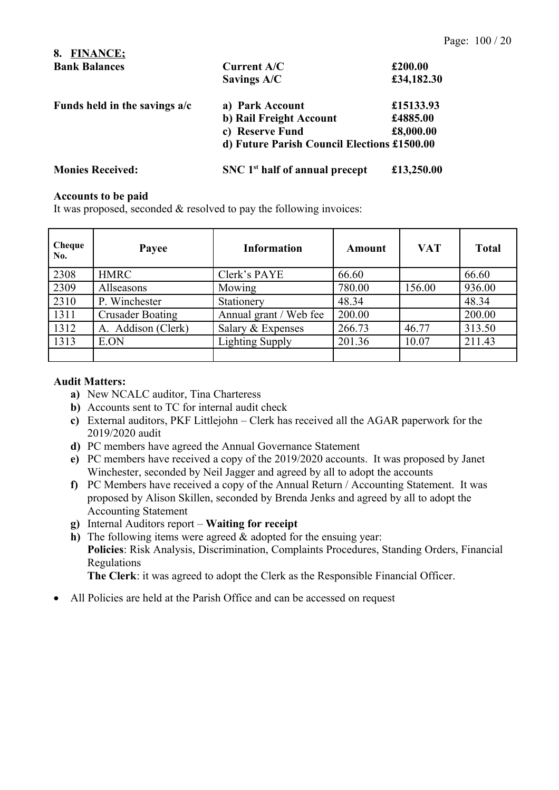| <b>FINANCE:</b><br>8.           |                                             |            |
|---------------------------------|---------------------------------------------|------------|
| <b>Bank Balances</b>            | Current A/C                                 | £200.00    |
|                                 | Savings A/C                                 | £34,182.30 |
| Funds held in the savings $a/c$ | a) Park Account                             | £15133.93  |
|                                 | b) Rail Freight Account                     | £4885.00   |
|                                 | c) Reserve Fund                             | £8,000.00  |
|                                 | d) Future Parish Council Elections £1500.00 |            |
| <b>Monies Received:</b>         | SNC 1 <sup>st</sup> half of annual precept  | £13,250.00 |

#### **Accounts to be paid**

It was proposed, seconded & resolved to pay the following invoices:

| Cheque<br>No. | Payee                   | <b>Information</b>     | Amount | <b>VAT</b> | <b>Total</b> |
|---------------|-------------------------|------------------------|--------|------------|--------------|
| 2308          | <b>HMRC</b>             | Clerk's PAYE           | 66.60  |            | 66.60        |
| 2309          | Allseasons              | Mowing                 | 780.00 | 156.00     | 936.00       |
| 2310          | P. Winchester           | Stationery             | 48.34  |            | 48.34        |
| 1311          | <b>Crusader Boating</b> | Annual grant / Web fee | 200.00 |            | 200.00       |
| 1312          | A. Addison (Clerk)      | Salary & Expenses      | 266.73 | 46.77      | 313.50       |
| 1313          | E.ON                    | <b>Lighting Supply</b> | 201.36 | 10.07      | 211.43       |
|               |                         |                        |        |            |              |

#### **Audit Matters:**

- **a)** New NCALC auditor, Tina Charteress
- **b)** Accounts sent to TC for internal audit check
- **c)** External auditors, PKF Littlejohn Clerk has received all the AGAR paperwork for the 2019/2020 audit
- **d)** PC members have agreed the Annual Governance Statement
- **e)** PC members have received a copy of the 2019/2020 accounts. It was proposed by Janet Winchester, seconded by Neil Jagger and agreed by all to adopt the accounts
- **f)** PC Members have received a copy of the Annual Return / Accounting Statement. It was proposed by Alison Skillen, seconded by Brenda Jenks and agreed by all to adopt the Accounting Statement
- **g)** Internal Auditors report **Waiting for receipt**
- **h)** The following items were agreed & adopted for the ensuing year: **Policies**: Risk Analysis, Discrimination, Complaints Procedures, Standing Orders, Financial Regulations

**The Clerk**: it was agreed to adopt the Clerk as the Responsible Financial Officer.

All Policies are held at the Parish Office and can be accessed on request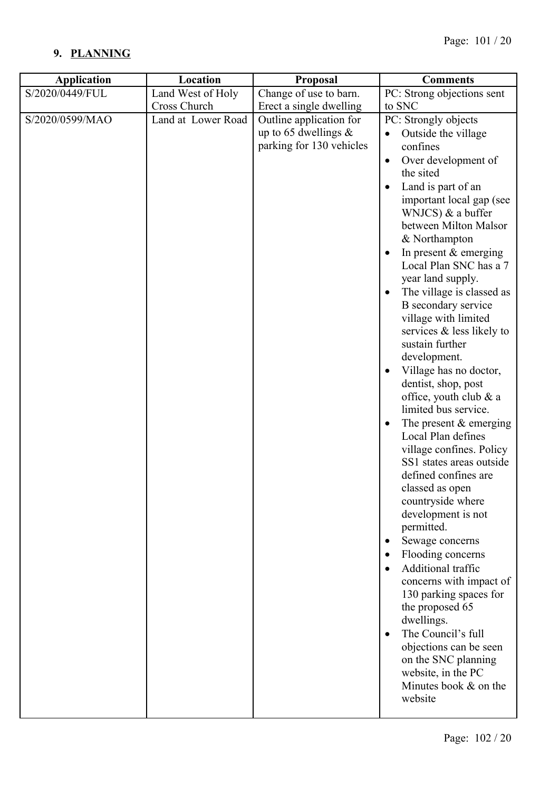# **9. PLANNING**

| <b>Application</b> | Location           | Proposal                                                                       | <b>Comments</b>                                                                                                                                                                                                                                                                                                                                                                                                                                                                                                                                                                                                                                                                                                                                                                                                                                                                                                                                                                                                                               |
|--------------------|--------------------|--------------------------------------------------------------------------------|-----------------------------------------------------------------------------------------------------------------------------------------------------------------------------------------------------------------------------------------------------------------------------------------------------------------------------------------------------------------------------------------------------------------------------------------------------------------------------------------------------------------------------------------------------------------------------------------------------------------------------------------------------------------------------------------------------------------------------------------------------------------------------------------------------------------------------------------------------------------------------------------------------------------------------------------------------------------------------------------------------------------------------------------------|
| S/2020/0449/FUL    | Land West of Holy  | Change of use to barn.                                                         | PC: Strong objections sent                                                                                                                                                                                                                                                                                                                                                                                                                                                                                                                                                                                                                                                                                                                                                                                                                                                                                                                                                                                                                    |
|                    | Cross Church       | Erect a single dwelling                                                        | to SNC                                                                                                                                                                                                                                                                                                                                                                                                                                                                                                                                                                                                                                                                                                                                                                                                                                                                                                                                                                                                                                        |
| S/2020/0599/MAO    | Land at Lower Road | Outline application for<br>up to 65 dwellings $\&$<br>parking for 130 vehicles | PC: Strongly objects<br>Outside the village<br>confines<br>Over development of<br>$\bullet$<br>the sited<br>Land is part of an<br>important local gap (see<br>WNJCS) & a buffer<br>between Milton Malsor<br>& Northampton<br>In present $&$ emerging<br>Local Plan SNC has a 7<br>year land supply.<br>The village is classed as<br>B secondary service<br>village with limited<br>services & less likely to<br>sustain further<br>development.<br>Village has no doctor,<br>dentist, shop, post<br>office, youth club $\&$ a<br>limited bus service.<br>The present $&$ emerging<br>Local Plan defines<br>village confines. Policy<br>SS1 states areas outside<br>defined confines are<br>classed as open<br>countryside where<br>development is not<br>permitted.<br>Sewage concerns<br>Flooding concerns<br>Additional traffic<br>concerns with impact of<br>130 parking spaces for<br>the proposed 65<br>dwellings.<br>The Council's full<br>objections can be seen<br>on the SNC planning<br>website, in the PC<br>Minutes book & on the |
|                    |                    |                                                                                | website                                                                                                                                                                                                                                                                                                                                                                                                                                                                                                                                                                                                                                                                                                                                                                                                                                                                                                                                                                                                                                       |